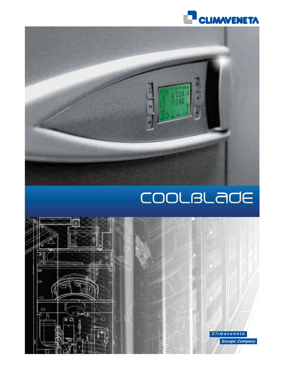



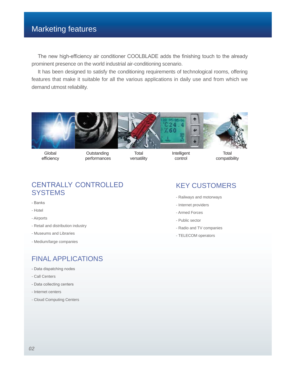## Marketing features

The new high-efficiency air conditioner COOLBLADE adds the finishing touch to the already prominent presence on the world industrial air-conditioning scenario.

It has been designed to satisfy the conditioning requirements of technological rooms, offering features that make it suitable for all the various applications in daily use and from which we demand utmost reliability.



**Global** efficiency

**Outstanding** performances

**Total** versatility

Intelligent control

**Total** compatibility

## CENTRALLY CONTROLLED **SYSTEMS**

- Banks
- Hotel
- Airports
- Retail and distribution industry
- Museums and Libraries
- Medium/large companies

## FINAL APPLICATIONS

- Data dispatching nodes
- Call Centers
- Data collecting centers
- Internet centers
- Cloud Computing Centers

## KEY CUSTOMERS

- Railways and motorways
- Internet providers
- Armed Forces
- Public sector
- Radio and TV companies
- TELECOM operators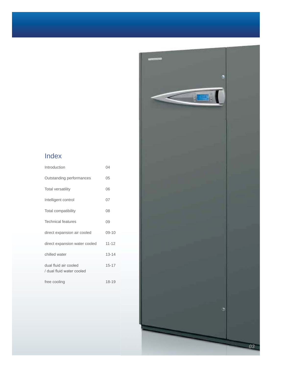## Index

| 04        |
|-----------|
| 05        |
| 06        |
| 07        |
| 08        |
| 09        |
| $09 - 10$ |
| $11 - 12$ |
| $13 - 14$ |
| $15 - 17$ |
|           |
| 18-19     |
|           |

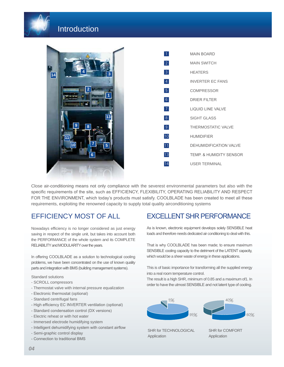

## **Introduction**

|    |                         | $\overline{1}$  | <b>MAIN BOARD</b>                  |
|----|-------------------------|-----------------|------------------------------------|
|    |                         | 2               | <b>MAIN SWITCH</b>                 |
| 14 | $\overline{\mathbf{3}}$ | 3 <sup>1</sup>  | <b>HEATERS</b>                     |
|    |                         | $\vert 4 \vert$ | <b>INVERTER EC FANS</b>            |
|    | 2                       | 5 <sub>5</sub>  | <b>COMPRESSOR</b>                  |
|    |                         | 6               | <b>DRIER FILTER</b>                |
|    |                         | 7 <sup>1</sup>  | LIQUID LINE VALVE                  |
|    | 13                      | 8               | <b>SIGHT GLASS</b>                 |
|    | 9<br>8                  | 9               | <b>THERMOSTATIC VALVE</b>          |
|    |                         | 10              | <b>HUMIDIFIER</b>                  |
|    | 5<br>10                 | 11              | DEHUMIDIFICATION VALVE             |
|    | $6\phantom{a}$          | 13              | <b>TEMP. &amp; HUMIDITY SENSOR</b> |
|    |                         | 14              | <b>USER TERMINAL</b>               |
|    |                         |                 |                                    |

Close air-conditioning means not only compliance with the severest environmental parameters but also with the specific requirements of the site, such as EFFICIENCY, FLEXIBILITY, OPERATING RELIABILITY AND RESPECT FOR THE ENVIRONMENT, which today's products must satisfy. COOLBLADE has been created to meet all these requirements, exploiting the renowned capacity to supply total quality airconditioning systems

## EFFICIENCY MOST OF ALL

Nowadays efficiency is no longer considered as just energy saving in respect of the single unit, but takes into account both the PERFORMANCE of the whole system and its COMPLETE RELIABILITY and MODULARITY over the years.

In offering COOLBLADE as a solution to technological cooling problems, we have been concentrated on the use of known quality parts and integration with BMS (building management systems).

Standard solutions

- SCROLL compressors
- Thermostat valve with internal pressure equalization
- Electronic thermostat (optional)
- Standard centrifugal fans
- High efficiency EC INVERTER ventilation (optional)
- Standard condensation control (DX versions)
- Electric reheat or with hot water
- Immersed electrode humidifying system
- Intelligent dehumidifying system with constant airflow
- Semi-graphic control display
- Connection to traditional BMS

## **EXCELLENT SHR PERFORMANCE**

As is known, electronic equipment develops solely SENSIBLE heat loads and therefore needs dedicated air conditioning to deal with this.

That is why COOLBLADE has been made; to ensure maximum SENSIBLE cooling capacity to the detriment of the LATENT capacity, which would be a sheer waste of energy in these applications.

This is of basic importance for transforming all the supplied energy into a real room temperature control.

The result is a high SHR, minimum of 0.85 and a maximum of1. In order to have the utmost SENSIBLE and not latent type of cooling.



SHR for TECHNOLOGICAL Application

SHR for COMFORT Application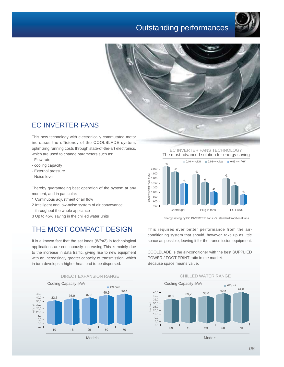## Outstanding performances





## EC INVERTER FANS

This new technology with electronically commutated motor increases the efficiency of the COOLBLADE system, optimizing running costs through state-of-the-art electronics, which are used to change parameters such as:

- Flow rate
- cooling capacity
- External pressure
- Noise level

Thereby guaranteeing best operation of the system at any moment, and in particular:

- 1 Continuous adjustment of air flow
- 2 Intelligent and low-noise system of air conveyance throughout the whole appliance
- 3 Up to 45% saving in the chilled water units

## THE MOST COMPACT DESIGN

It is a known fact that the set loads (W/m2) in technological applications are continuously increasing.This is mainly due to the increase in data traffic, giving rise to new equipment with an increasingly greater capacity of transmission, which in turn develops a higher heat load to be dispersed.





EC INVERTER FANS TECHNOLOGY The most advanced solution for energy saving



Energy saving by EC INVERTER Fans Vs. standard traditional fans

This requires ever better performance from the airconditioning system that should, however, take up as little space as possible, leaving it for the transmission equipment.

COOLBLADE is the air-conditioner with the best SUPPLIED POWER / FOOT PRINT ratio in the market. Because space means value.



Models Models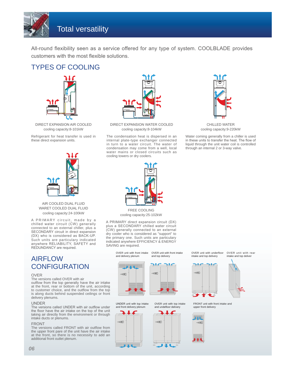

All-round flexibility seen as a service offered for any type of system. COOLBLADE provides customers with the most flexible solutions.

## TYPES OF COOLING



DIRECT EXPANSION AIR COOLED cooling capacity:8-101kW

Refrigerant for heat transfer is used in these direct expansion units.



DIRECT EXPANSION WATER COOLED cooling capacity:8-104kW

The condensation heat is dispersed in an internal plate-type exchanger connected in turn to a water circuit. The water of condensation may come from a well, local water mains or closed circuits such as cooling towers or dry coolers.



CHILLED WATER cooling capacity:9-220kW

Water coming generally from a chiller is used in these units to transfer the heat. The flow of liquid through the unit water coil is controlled through an internal 2 or 3-way valve.



### AIR COOLED DUAL FLUID WARET COOLED DUAL FLUID cooling capacity:24-100kW

A PRIMARY circuit, made by a chilled water circuit (CW) generally connected to an external chiller, plus a SECONDARY circuit in direct expansion (DX) who is considered as BACK-UP. Such units are particulary indicated anywhere RELIABILITY, SAFETY and REDUNDANCY are required.

## AIRFLOW **CONFIGURATION**

#### OVER

The versions called OVER with air

outflow from the top generally have the air intake<br>at the front, rear or bottom of the unit, according to customer choice, and the outflow from the top is along ducts behind suspended ceilings or front delivery plenums.

#### UNDER

The versions called UNDER with air outflow under the floor have the air intake on the top of the unit taking air directly from the environment or through intake ducts or plenums.

#### FRONT

The versions called FRONT with air outflow from the upper front pare of the unit have the air intake at the front, so there is no necessity to add an additional front outlet plenum.



FREE COOLING cooling capacity:25-102kW

A PRIMARY direct expansion circuit (DX) plus a SECONDARY chilled water circuit (CW) generally connected to an external dry cooler who is considered as "support" to the primary one. Such units are particulary indicated anywhere EFFICIENCY & ENERGY SAVING are required.

> OVER unit with front intake OVER unit with front intake and delivery plenum

UNDER unit with top intake and front delivery plenum

and top delivery

OVER unit with top intake and undefloor delivery



OVER unit with underfloor intake and top delivery

OVER unit with rear intake and top deliver















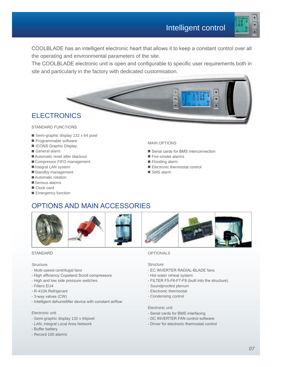

COOLBLADE has an intelligent electronic heart that allows it to keep a constant control over all the operating and environmental parameters of the site.

The COOLBLADE electronic unit is open and configurable to specific user requirements both in site and particularly in the factory with dedicated customisation.



## **ELECTRONICS**

### STANDARD FUNCTIONS

- Semi-graphic display 132 x 64 pixel
- $\blacksquare$  Programmable software
- **E** ICONS Graphic Display
- General alarm
- Automatic reset after blackout
- Compressor FIFO management
- Integral LAN system
- Standby management
- Automatic rotation
- $\blacksquare$  Serious alarms
- Clock card
- **E** Emergency function

### MAIN OPTIONS

- Serial cards for BMS interconnection
- Fire-smoke alarms
- $\blacksquare$  Flooding alarm
- **Electronic thermostat control**
- SMS alarm

## OPTIONS AND MAIN ACCESSORIES



### STANDARD

### **Structure**

- Multi-speed centrifugal fans
- High efficiency Copeland Scroll compressors
- High and low side pressure switches
- Filters EU4
- R-410A Refrigerant
- 3-way valves (CW)
- Intelligent dehumidifier device with constant airflow

### Electronic unit

- Semi-graphic display 132 x 64pixel
- LAN, integral Local Area Network
- Buffer battery
- Record 100 alarms

### OPTIONALS

### **Structure**

- EC INVERTER RADIAL-BLADE fans
- Hot water reheat system
- FILTER F5-F6-F7-F8 (built into the structure)
- Soundproofed plenum
- Electronic thermostat
- Condensing control

### Electronic unit

- Serial cards for BMS interfacing
- DC INVERTER FAN control software
- Driver for electronic thermostat control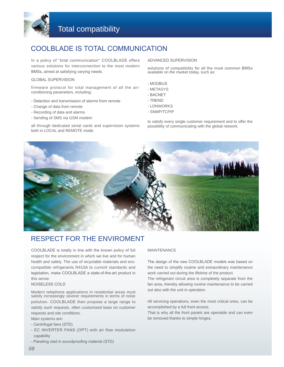

## COOLBLADE IS TOTAL COMMUNICATION

In a policy of "total communication" COOLBLADE offers various solutions for interconnection to the most modern BMSs, aimed at satisfying varying needs.

### GLOBAL SUPERVISION

firmware protocol for total management of all the airconditioning parameters, including:

- Detection and transmission of alarms from remote
- Change of data from remote
- Recording of data and alarms
- Sending of SMS via GSM modem

all through dedicated serial cards and supervision systems both in LOCAL and REMOTE mode.

#### ADVANCED SUPERVISION

solutions of compatibility for all the most common BMSs available on the market today, such as:

- MODBUS
- METASYS
- BACNET
- TREND
- LONWORKS
- SNMP/TCPIP

to satisfy every single customer requirement and to offer the possibility of communicating with the global network.



## RESPECT FOR THE ENVIROMENT

COOLBLADE is totally in line with the known policy of full respect for the environment in which we live and for human health and safety. The use of recyclable materials and ecocompatible refrigerants R410A to current standards and legislation, make COOLBLADE a state-of-the-art product in this sense.

### NOISELESS COLD

Modern telephone applications in residential areas must satisfy increasingly severer requirements in terms of noise pollution. COOLBLADE then propose a large range to satisfy such requests, often customized base on customer requests and site conditions.

Main systems are:

- Centrifugal fans (STD)
- EC INVERTER FANS (OPT) with air flow modulation capability
- Paneling clad in soundproofing material (STD)

#### MAINTENANCE

The design of the new COOLBLADE models was based on the need to simplify routine and extraordinary maintenance work carried out during the lifetime of the product.

The refrigerant circuit area is completely separate from the fan area, thereby allowing routine maintenance to be carried out also with the unit in operation.

All servicing operations, even the most critical ones, can be accomplished by a full front access.

That is why all the front panels are openable and can even be removed thanks to simple hinges.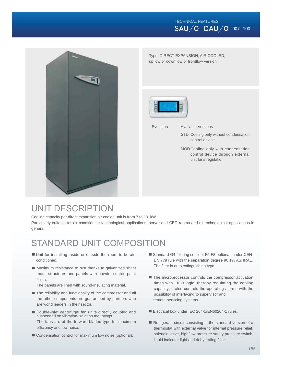### TECHNICAL FEATURES:  $SAU/O-DAU/O$  007-100



Type: DIRECT EXPANSION, AIR COOLED, upflow or downflow or frontflow version



Evolution

Available Versions

- STD Cooling only without condensation control device
- MOD Cooling only with condensation control device through external unit fans regulation

## UNIT DESCRIPTION

Cooling capacity per direct expansion air cooled unit is from 7 to 101kW. Particularly suitable for air-conditioning technological applications, server and CED rooms and all technological applications in general.

## STANDARD UNIT COMPOSITION

- Unit for installing inside or outside the room to be airconditioned.
- Maximum resistance to rust thanks to galvanized sheet metal structures and panels with powder-coated paint finish.

The panels are lined with sound-insulating material.

- The reliability and functionality of the compressor and all the other components are guaranteed by partners who are world leaders in their sector.
- Double-inlet centrifugal fan units directly coupled and suspended on vibration-isolation mountings. The fans are of the forward-bladed type for maximum efficiency and low noise.
- $\blacksquare$  Condensation control for maximum low noise (optional).
- Standard G4 filtering section, F5-F8 optional, under CEN-EN 779 rule with the separation degree 90,1% ASHRAE. The filter is auto extinguishing type.
- The microprocessor controls the compressor activation times with FIFO logic, thereby regulating the cooling capacity; it also controls the operating alarms with the possibility of interfacing to supervisor and remote-servicing systems.
- Electrical box under IEC 204-1/EN60204-1 rules.
- $\blacksquare$  Refrigerant circuit consisting in the standard version of a thermostat with external valve for internal pressure relief, solenoid valve, high/low pressure safety pressure switch, liquid indicator light and dehydrating filter.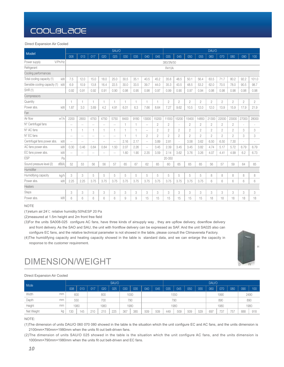#### Direct Expansion Air Cooled

|                                     |                |                          |                          |                             | SAU/O         |      |                |                          |                |                |                |                |                | DAU/O          |                |                |                |                |
|-------------------------------------|----------------|--------------------------|--------------------------|-----------------------------|---------------|------|----------------|--------------------------|----------------|----------------|----------------|----------------|----------------|----------------|----------------|----------------|----------------|----------------|
| Model                               | 008            | 013                      | 017                      | 020                         | 025           | 030  | 035            | 040                      | 045            | 035            | 045            | 050            | 055            | 060            | 070            | 080            | 090            | 100            |
| Power supply<br>V/Ph/Hz             |                |                          |                          |                             |               |      |                |                          |                | 380/3N/50      |                |                |                |                |                |                |                |                |
| Refrigerant                         |                |                          |                          |                             |               |      |                |                          |                | R410A          |                |                |                |                |                |                |                |                |
| Cooling performances                |                |                          |                          |                             |               |      |                |                          |                |                |                |                |                |                |                |                |                |                |
| kW<br>Total cooling capacity (1)    | 7.5            | 12.0                     | 15.0                     | 18.0                        | 25.0          | 30.5 | 35.1           | 40.5                     | 45.2           | 35.6           | 48.5           | 50.1           | 56.4           | 63.5           | 71.7           | 80.2           | 92.2           | 101.0          |
| Sensible cooling capacity (1)<br>kW | 6.9            | 10.9                     | 13.8                     | 16.4                        | 22.5          | 30.0 | 33.5           | 39.7                     | 44.0           | 35.3           | 43.5           | 48.5           | 53.2           | 62.0           | 70.5           | 78.0           | 90.5           | 98.7           |
| SHR (1)                             | 0.92           | 0.91                     | 0.92                     | 0.91                        | 0.90          | 0.98 | 0.95           | 0.98                     | 0.97           | 0.99           | 0.90           | 0.97           | 0.94           | 0.98           | 0.98           | 0.98           | 0.98           | 0.98           |
| Compressors                         |                |                          |                          |                             |               |      |                |                          |                |                |                |                |                |                |                |                |                |                |
| Quantity                            | $\overline{1}$ | 1                        | $\overline{1}$           | 1                           | 1             | 1    | 1              | 1                        | 1              | $\overline{2}$ | $\overline{2}$ | $\overline{2}$ | $\mathbf{2}$   | $\overline{c}$ | $\overline{2}$ | $\overline{2}$ | $\overline{2}$ | $\overline{2}$ |
| Power abs.<br>kW                    | 1.87           | 3.0                      | 3.69                     | 4.2                         | 4.91          | 6.01 | 6.3            | 7.66                     | 8.64           | 7.27           | 9.62           | 10.5           | 12.0           | 12.0           | 13.9           | 15.9           | 17.9           | 21.9           |
| Fan                                 |                |                          |                          |                             |               |      |                |                          |                |                |                |                |                |                |                |                |                |                |
| $m^3/h$<br>Air flow                 | 2200           | 2650                     | 4750                     | 4750                        | 5750          | 8400 | 9180           | 13000                    | 15200          | 11550          | 15200          | 15400          | 14850          | 21300          | 22000          | 23000          | 27000          | 28000          |
| N° Centrifugal fans                 | $\sim$ $\sim$  | $\sim$                   | $\sim$                   | $\sim$ $\sim$               | $\sim$ $\sim$ | 1    | 1              | $\sim$ $-$               | $\overline{2}$ | $\overline{2}$ | ÷.             | $\overline{2}$ | $\overline{2}$ | $\overline{2}$ | $\overline{2}$ | $\overline{2}$ | $\sim$         |                |
| N° AC fans                          | 1              | 1                        |                          | 1                           | 1             | 1    | $\overline{1}$ | $-$                      | $\overline{2}$ | $\overline{2}$ | $\overline{2}$ | $\overline{2}$ | $\overline{2}$ | $\overline{2}$ | $\overline{2}$ | $\overline{2}$ | 3              | 3              |
| N° EC fans                          | $\sim$ $-$     | $\overline{\phantom{a}}$ | $\overline{a}$           | $\sim$ $-$                  | $\sim$ $-$    | 1    | $\overline{1}$ | $\overline{2}$           | $\overline{c}$ | $\overline{2}$ | $\overline{2}$ | $\overline{2}$ | $\overline{2}$ | $\overline{2}$ | $\overline{2}$ | $\overline{2}$ | 3              | 3              |
| Centrifugal fans power abs.<br>kW   | $\sim$ $-$     | $\sim$ $-$               | $\overline{\phantom{a}}$ | $\sim$ $-$                  | Ξ.            | 2.16 | 2.17           | $-$                      | 3.89           | 2.81           |                | 3.58           | 3.62           | 6.50           | 6.50           | 7.30           |                |                |
| AC fans power abs.<br>kW            | 0.30           | 0.46                     | 0.84                     | 0.84                        | 1.50          | 2.07 | 2.26           | $\overline{\phantom{a}}$ | 3.45           | 2.39           | 3.45           | 3.45           | 3.82           | 4.74           | 5.17           | 5.72           | 6.79           | 6.79           |
| kW<br>EC fans power abs.            | $\sim$ $-$     | $\overline{a}$           | $- -$                    | $\mathcal{L}^{\mathcal{L}}$ | $\sim$ $-$    | 1.60 | 1.90           | 2.35                     | 3.59           | 2.14           | 3.62           | 3.76           | 3.26           | 4.07           | 4.41           | 4.99           | 6.2            | 6.73           |
| <b>ESP</b><br>Pa                    |                |                          |                          |                             |               |      |                |                          |                | 20-350         |                |                |                |                |                |                |                |                |
| Sound pressure level (2)<br>dB(A)   | 52             | 53                       | 56                       | 56                          | 57            | 65   | 67             | 62                       | 65             | 60             | 65             | 65             | 65             | 56             | 57             | 59             | 64             | 65             |
| Humidifier                          |                |                          |                          |                             |               |      |                |                          |                |                |                |                |                |                |                |                |                |                |
| Humidifying capacity<br>kg/h        | 3              | 3                        | 5                        | 5                           | 5             | 5    | 5              | 5                        | 5              | 5              | 5              | 5              | 5              | 8              | 8              | 8              | 8              | 8              |
| Power abs.<br>kW                    | 2.25           | 2.25                     | 3.75                     | 3.75                        | 3.75          | 3.75 | 3.75           | 3.75                     | 3.75           | 3.75           | 3.75           | 3.75           | 3.75           | 6              | 6              | 6              | 6              | 6              |
| Heaters                             |                |                          |                          |                             |               |      |                |                          |                |                |                |                |                |                |                |                |                |                |
| <b>Steps</b>                        | 3              | 3                        | 3                        | 3                           | 3             | 3    | 3              | 3                        | 3              | 3              | 3              | 3              | 3              | 3              | 3              | 3              | 3              | 3              |
| Power abs.<br>kW                    | 6              | 6                        | 6                        | 6                           | 6             | 9    | 9              | 15                       | 15             | 15             | 15             | 15             | 15             | 18             | 18             | 18             | 18             | 18             |

#### **NOTE**

(1) return air:24°C relative humidity:50%ESP 20 Pa

(2) measured at 1.5m height and 2m front free field

(3) For the units SA008-025 configure AC fans, have three kinds of airsupply way, they are upflow delivery, downflow delivery and front delivery. As the SAO and SAU, the unit with frontflow delivery can be expressed as SAF. And the unit SA025 also can configure EC fans, and the relative technical parameter is not showed in the table, please consult the Climaveneta Factory.

(4) The humidifying capacity and heating capacity showed in the table is standard data, and we can enlarge the capacity in response to the customer requirement.



## **DIMENSION/WEIGHT**

#### Direct Expansion Air Cooled

| Mode       |    |      |     |     |      | SAU/O |     |      |     |     |     |      |     |     | DAU/O |      |     |     |      |
|------------|----|------|-----|-----|------|-------|-----|------|-----|-----|-----|------|-----|-----|-------|------|-----|-----|------|
|            |    | 008  | 013 | 017 | 020  | 025   | 030 | 035  | 040 | 045 | 035 | 045  | 050 | 055 | 060   | 070  | 080 | 090 | 100  |
| Width      | mm | 600  |     |     | 800  |       |     | 1000 |     |     |     | 1550 |     |     |       | 1990 |     |     | 2490 |
| Depth      | mm | 550  |     |     | 700  |       | 790 |      |     |     |     | 790  |     |     |       | 890  |     |     | 890  |
| Height     | mm | 1980 |     |     | 1980 |       |     | 1980 |     |     |     | 1980 |     |     |       | 1980 |     |     | 1980 |
| Net Weight | kg | 130  | 145 | 210 | 215  | 225   | 367 | 385  | 509 | 509 | 449 | 509  | 509 | 529 | 697   | 737  | 757 | 888 | 918  |

#### NOTE:

(1) The dimension of units DAU/O 060 070 080 showed in the table is the situation which the unit configure EC and AC fans, and the units dimension is 2100mm×790mm×1980mm when the units fit out belt-driven fans.

(2) The dimension of units SAU/O 025 showed in the table is the situation which the unit configure AC fans, and the units dimension is 1000mm×790mm×1980mm when the units fit out belt-driven and EC fans.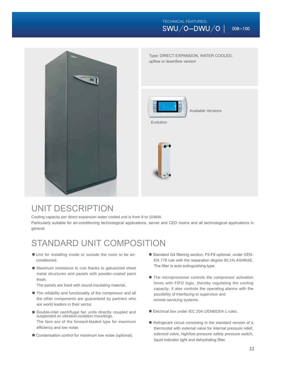### TECHNICAL FEATURES:  $\overline{\text{SWU/O}-\text{DWU}/\text{O}}$  008–100



Type: DIRECT EXPANSION, WATER COOLED, upflow or downflow version



Available Versions

Evolution



## UNIT DESCRIPTION

Cooling capacity per direct expansion water cooled unit is from 8 to 104kW.

Particularly suitable for air-conditioning technological applications, server and CED rooms and all technological applications in general.

## STANDARD UNIT COMPOSITION

- Unit for installing inside or outside the room to be airconditioned.
- Maximum resistance to rust thanks to galvanized sheet metal structures and panels with powder-coated paint finish.

The panels are lined with sound-insulating material.

- The reliability and functionality of the compressor and all the other components are guaranteed by partners who are world leaders in their sector.
- Double-inlet centrifugal fan units directly coupled and suspended on vibration-isolation mountings. The fans are of the forward-bladed type for maximum efficiency and low noise.
- Condensation control for maximum low noise (optional).
- Standard G4 filtering section, F5-F8 optional, under CEN-EN 779 rule with the separation degree 90,1% ASHRAE. The filter is auto extinguishing type.
- The microprocessor controls the compressor activation times with FIFO logic, thereby regulating the cooling capacity; it also controls the operating alarms with the possibility of interfacing to supervisor and remote-servicing systems.
- Electrical box under IEC 204-1/EN60204-1 rules.
- $\blacksquare$  Refrigerant circuit consisting in the standard version of a thermostat with external valve for internal pressure relief, solenoid valve, high/low pressure safety pressure switch, liquid indicator light and dehydrating filter.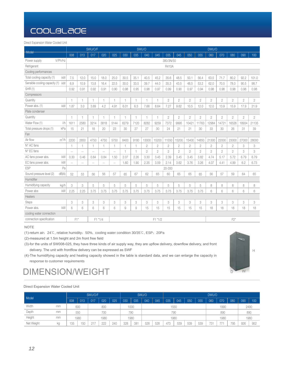Direct Expansion Water Cooled Unit

|                               |         |                |                 | SWU/O/F                     |                 |                          |              |                | SWU/O          |                |                |                |                |                | DWU/O          |                |                |                |                |
|-------------------------------|---------|----------------|-----------------|-----------------------------|-----------------|--------------------------|--------------|----------------|----------------|----------------|----------------|----------------|----------------|----------------|----------------|----------------|----------------|----------------|----------------|
| Model                         |         | 008            | 013             | 017                         | 020             | 025                      | 030          | 035            | 040            | 045            | 035            | 045            | 050            | 055            | 060            | 070            | 080            | 090            | 100            |
| Power supply                  | V/Ph/Hz |                |                 |                             |                 |                          |              |                |                |                | 380/3N/50      |                |                |                |                |                |                |                |                |
| Refrigerant                   |         |                |                 |                             |                 |                          |              |                |                |                | R410A          |                |                |                |                |                |                |                |                |
| Cooling performances          |         |                |                 |                             |                 |                          |              |                |                |                |                |                |                |                |                |                |                |                |                |
| Total cooling capacity (1)    | kW      | 7.5            | 12.0            | 15.0                        | 18.0            | 25.0                     | 30.5         | 35.1           | 40.5           | 45.2           | 35.6           | 48.5           | 50.1           | 56.4           | 63.5           | 71.7           | 80.2           | 92.2           | 101.0          |
| Sensible cooling capacity (1) | kW      | 6.9            | 10.9            | 13.8                        | 16.4            | 22.5                     | 30.0         | 33.5           | 39.7           | 44.0           | 35.3           | 43.5           | 48.5           | 53.2           | 62.0           | 70.5           | 78.0           | 90.5           | 98.7           |
| SHR (1)                       |         | 0.92           | 0.91            | 0.92                        | 0.91            | 0.90                     | 0.98         | 0.95           | 0.98           | 0.97           | 0.99           | 0.90           | 0.97           | 0.94           | 0.98           | 0.98           | 0.98           | 0.98           | 0.98           |
| Compressors                   |         |                |                 |                             |                 |                          |              |                |                |                |                |                |                |                |                |                |                |                |                |
| Quantity                      |         | $\overline{1}$ | $\mathbf{1}$    |                             | $\overline{1}$  | $\overline{1}$           | 1            | 1              |                | 1              | $\overline{2}$ | $\overline{2}$ | $\overline{2}$ | $\overline{c}$ | $\overline{2}$ | $\overline{2}$ | $\overline{c}$ | $\overline{2}$ | $\overline{2}$ |
| Power abs. (1)                | kW      | 1.87           | 3.0             | 3.69                        | 4.2             | 4.91                     | 6.01         | 6.3            | 7.66           | 8.64           | 7.27           | 9.62           | 10.5           | 12.0           | 12.0           | 13.9           | 15.9           | 17.9           | 21.9           |
| Plate condenser               |         |                |                 |                             |                 |                          |              |                |                |                |                |                |                |                |                |                |                |                |                |
| Quantity                      |         | 1              | $\mathbf{1}$    | 1                           | 1               | $\mathbf{1}$             | $\mathbf{1}$ | $\overline{1}$ | 1              | $\mathbf{1}$   | $\overline{2}$ | $\overline{c}$ | 2              | $\overline{2}$ | $\overline{2}$ | $\overline{2}$ | $\overline{2}$ | 2              | 2              |
| Water Flow (1)                | 1/h     | 1611           | 2580            | 3214                        | 3818            | 5144                     | 6279         | 7120           | 8282           | 9259           | 7372           | 9995           | 10421          | 11763          | 12984          | 14721          | 16526          | 18934          | 21135          |
| Total pressure drops (1)      | kPa     | 15             | 21              | 18                          | 20              | 23                       | 30           | 27             | 27             | 30             | 24             | 21             | 21             | 30             | 33             | 30             | 26             | 31             | 39             |
| Fan                           |         |                |                 |                             |                 |                          |              |                |                |                |                |                |                |                |                |                |                |                |                |
| Air flow                      | $m^3/h$ | 2200           | 2850            | 4750                        | 4750            | 5750                     | 8400         | 9180           | 13000          | 15200          | 11550          | 15200          | 15400          | 14850          | 21300          | 22000          | 23000          | 27000          | 28000          |
| N° AC fans                    |         | 1              | $\mathbf{1}$    | 1                           | $\mathbf{1}$    | 1                        | 1            | $\overline{1}$ | $\overline{2}$ | $\overline{2}$ | $\overline{2}$ | $\overline{2}$ | $\overline{2}$ | $\overline{2}$ | $\overline{2}$ | $\overline{2}$ | $\overline{2}$ | 3              | 3              |
| N° EC fans                    |         | $\sim$ $\sim$  | $\sim$ $\sim$   | $\mathcal{L} = \mathcal{L}$ | L.              | $\overline{\phantom{a}}$ | $\mathbf{1}$ | $\overline{1}$ | $\overline{2}$ | $\overline{2}$ | $\overline{2}$ | $\overline{2}$ | $\overline{2}$ | $\overline{2}$ | $\overline{2}$ | $\overline{2}$ | $\overline{2}$ | 3              | 3              |
| AC fans power abs.            | kW      | 0.30           | 0.46            | 0.84                        | 0.84            | 1.50                     | 2.07         | 2.26           | 3.30           | 3.45           | 2.39           | 3.45           | 3.45           | 3.82           | 4.74           | 5.17           | 5.72           | 6.79           | 6.79           |
| EC fans power abs.            | kW      | $\overline{a}$ | $\sim$ $\sim$   | $\overline{a}$              | $\sim$ $-$      | $\sim$                   | 1.60         | 1.90           | 2.35           | 3.59           | 2.14           | 3.62           | 3.76           | 3.26           | 4.07           | 4.41           | 4.99           | 6.2            | 6.73           |
| <b>ESP</b>                    | Pa      |                |                 |                             |                 |                          |              |                |                |                | 20-350         |                |                |                |                |                |                |                |                |
| Sound pressure level (2)      | dB(A)   | 52             | 53              | 56                          | 56              | 57                       | 65           | 67             | 62             | 65             | 60             | 65             | 65             | 65             | 56             | 57             | 59             | 64             | 65             |
| Humidifier                    |         |                |                 |                             |                 |                          |              |                |                |                |                |                |                |                |                |                |                |                |                |
| Humidifying capacity          | kg/h    | 3              | 3               | 5                           | 5               | 5                        | 5            | 5              | 5              | 5              | 5              | 5              | 5              | 5              | 8              | 8              | 8              | 8              | 8              |
| Power abs                     | kW      | 2.25           | 2.25            | 3.75                        | 3.75            | 3.75                     | 3.75         | 3.75           | 3.75           | 3.75           | 3.75           | 3.75           | 3.75           | 3.75           | 6              | 6              | 6              | 6              | 6              |
| Heaters                       |         |                |                 |                             |                 |                          |              |                |                |                |                |                |                |                |                |                |                |                |                |
| <b>Steps</b>                  |         | 3              | 3               | 3                           | 3               | 3                        | 3            | 3              | 3              | 3              | 3              | 3              | 3              | 3              | 3              | 3              | 3              | 3              | 3              |
| Power abs.                    | kW      | 6              | $6\overline{6}$ | 6                           | $6\overline{6}$ | 6                        | 9            | 9              | 15             | 15             | 15             | 15             | 15             | 15             | 18             | 18             | 18             | 18             | 18             |
| cooling water connection      |         |                |                 |                             |                 |                          |              |                |                |                |                |                |                |                |                |                |                |                |                |
| connection specification      |         | F1"            |                 | F1 "1/4                     |                 |                          |              |                |                | F1 "1/2        |                |                |                |                |                |                | F2"            |                |                |

### NOTE

(1)-return air: 24°C, relative humidity: 50%, cooling water condition 30/35°C, ESP: 20Pa

(2)-measured at 1.5m height and 2m front free field

(3)-for the units of SW008-025, they have three kinds of air supply way, they are upflow delivery, downflow delivery, and front delivery. The unit with frontflow delivery can be expressed as SWF

(4)-The humidifying capacity and heating capacity showed in the table is standard data, and we can enlarge the capacity in response to customer requirements

## DIMENSION/WEIGHT

### Direct Expansion Water Cooled Unit

|            |    |     |      | SWU/O/F |      |     |     |      | SWU/O |     |     |      |     |     | DWU/O |      |     |     |      |
|------------|----|-----|------|---------|------|-----|-----|------|-------|-----|-----|------|-----|-----|-------|------|-----|-----|------|
| Model      |    | 008 | 013  | 017     | 020  | 025 | 030 | 035  | 040   | 045 | 035 | 045  | 050 | 055 | 060   | 070  | 080 | 090 | 100  |
| Width      | mm |     | 600  |         | 800  |     |     | 1000 |       |     |     | 1550 |     |     |       | 1990 |     |     | 2490 |
| Depth      | mm |     | 550  |         | 700  |     |     | 790  |       |     | 790 |      |     |     |       | 890  |     |     | 890  |
| Height     | mm |     | 1980 |         | 1980 |     |     | 1980 |       |     |     | 1980 |     |     |       | 1980 |     |     | 1980 |
| Net Weight | кg | 135 | 150  | 217     | 222  | 240 | 328 | 381  | 528   | 528 | 473 | 539  | 539 | 539 | 731   | 771  | 795 | 926 | 952  |

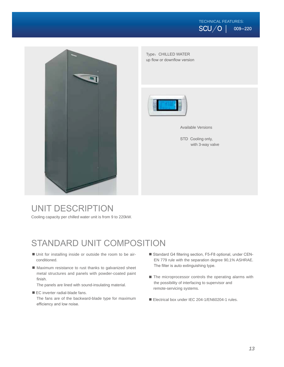## TECHNICAL FEATURES:  $\overline{SCU/O}$  009-220



Type: CHILLED WATER up flow or downflow version



Available Versions

STD Cooling only, with 3-way valve

## UNIT DESCRIPTION

Cooling capacity per chilled water unit is from 9 to 220kW.

## STANDARD UNIT COMPOSITION

- Unit for installing inside or outside the room to be airconditioned.
- Maximum resistance to rust thanks to galvanized sheet metal structures and panels with powder-coated paint finish.

The panels are lined with sound-insulating material.

■ EC inverter radial-blade fans.

The fans are of the backward-blade type for maximum efficiency and low noise.

- Standard G4 filtering section, F5-F8 optional, under CEN-EN 779 rule with the separation degree 90,1% ASHRAE. The filter is auto extinguishing type.
- The microprocessor controls the operating alarms with the possibility of interfacing to supervisor and remote-servicing systems.
- Electrical box under IEC 204-1/EN60204-1 rules.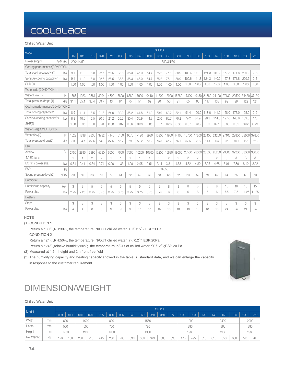### Chilled Water Unit

| Model                               |                |           |                |                |      |                |      |       |                | SCU/O          |                |                |                |                |                |                |       |       |       |       |
|-------------------------------------|----------------|-----------|----------------|----------------|------|----------------|------|-------|----------------|----------------|----------------|----------------|----------------|----------------|----------------|----------------|-------|-------|-------|-------|
|                                     | 009            | 011       | 016            | 020            | 025  | 030            | 035  | 040   | 050            | 060            | 070            | 080            | 090            | 100            | 120            | 140            | 160   | 180   | 200   | 220   |
| Power supply<br>V/Ph/Hz             |                | 220/1N/50 |                |                |      |                |      |       |                |                | 380/3N/50      |                |                |                |                |                |       |       |       |       |
| Cooling performances (CONDITION 1)  |                |           |                |                |      |                |      |       |                |                |                |                |                |                |                |                |       |       |       |       |
| Total cooling capacity (1)<br>kW    | 9.1            | 11.2      | 16.8           | 22.7           | 28.5 | 33.8           | 38.3 | 46.0  | 54.7           | 65.2           | 75.1           | 88.9           | 100.6          | 111.3          | 124.3          | 140.2          | 157.8 | 171.8 | 200.2 | 216   |
| Sensible cooling capacity (1)<br>kW | 9.1            | 11.2      | 16.8           | 22.7           | 28.5 | 33.8           | 38.3 | 46.0  | 54.7           | 65.2           | 75.1           | 88.9           | 100.6          | 111.3          | 124.3          | 140.2          | 157.8 | 171.8 | 200.2 | 216   |
| SHR (1)                             | 1.00           | 1.00      | 1.00           | 1.00           | 1.00 | 1.00           | 1.00 | 1.00  | 1.00           | 1.00           | 1.00           | 1.00           | 1.00           | 1.00           | 1.00           | 1.00           | 1.00  | 1.00  | 1.00  | 1.00  |
| Water side (CONDITION 1)            |                |           |                |                |      |                |      |       |                |                |                |                |                |                |                |                |       |       |       |       |
| Water Flow (1)<br>1/h               | 1567           | 1923      | 2884           | 3904           | 4890 | 5820           | 6580 | 7900  | 9410           | 11200          | 12900          | 15280          | 17300          | 19130          | 21360          | 24100          | 27130 | 29520 | 34420 | 37130 |
| Total pressure drops (1)<br>kPa     | 31.1           | 35.4      | 33.4           | 69.7           | 43   | 64             | 75   | 54    | 62             | 90             | 50             | 91             | 65             | 90             | 117            | 133            | 99    | 99    | 122   | 124   |
| Cooling performances(CONDITION 2)   |                |           |                |                |      |                |      |       |                |                |                |                |                |                |                |                |       |       |       |       |
| Total cooling capacity(2)<br>kW     | 8.9            | 11.1      | 16.5           | 21.8           | 24.0 | 30.0           | 35.2 | 41.8  | 51.9           | 60.0           | 69.2           | 82.1           | 91.4           | 100.0          | 118.0          | 141.0          | 158.0 | 173.0 | 195.0 | 219   |
| Sensible cooling capacity(2)<br>kW  | 8.9            | 10.6      | 16.5           | 20.6           | 21.2 | 26.2           | 30.4 | 36.9  | 44.3           | 52.0           | 60.7           | 70.2           | 79.2           | 87.9           | 98.2           | 114.0          | 127.0 | 140.0 | 159.0 | 173   |
| SHR(2)                              | 1.00           | 0.95      | 1.00           | 0.94           | 0.88 | 0.87           | 0.86 | 0.88  | 0.85           | 0.87           | 0.88           | 0.86           | 0.87           | 0.88           | 0.83           | 0.81           | 0.80  | 0.81  | 0.82  | 0.79  |
| Water side(CONDITION 2)             |                |           |                |                |      |                |      |       |                |                |                |                |                |                |                |                |       |       |       |       |
| Water flow(2)<br>1/h                | 1529           | 1898      | 2836           | 3732           | 4140 | 5160           | 6070 | 7190  | 8930           | 10300          | 11900          | 14100          | 15700          | 17200          | 20400          | 24200          | 27100 | 29800 | 33600 | 37800 |
| Total pressure drops(2)<br>kPa      | 30             | 34.7      | 32.6           | 64.3           | 37.5 | 56.7           | 69   | 50.2  | 58.2           | 76.5           | 45.7           | 76.1           | 57.5           | 68.6           | 110            | 134            | 95    | 100   | 118   | 128   |
| Fan                                 |                |           |                |                |      |                |      |       |                |                |                |                |                |                |                |                |       |       |       |       |
| $m^3/h$<br>Air flow                 | 2750           | 2890      | 5390           | 5580           | 6000 | 7000           | 7600 | 10200 | 10800          | 13200          | 15680          | 18000          | 20550          | 23500          | 23600          | 26200          | 29500 | 32200 | 38000 | 38000 |
| N° EC fans                          |                | 1         | $\overline{2}$ | $\overline{2}$ | 1    | $\overline{1}$ | -1   |       | $\overline{1}$ | $\overline{2}$ | $\overline{2}$ | $\overline{2}$ | $\overline{2}$ | $\overline{2}$ | $\overline{2}$ | $\overline{c}$ | 3     | 3     | 3     | 3     |
| EC fans power abs.<br>kW            | 0.34           | 0.41      | 0.64           | 0.74           | 0.90 | 1.33           | 1.90 | 2.05  | 2.54           | 2.14           | 3.31           | 4.53           | 4.32           | 4.80           | 5.05           | 4.68           | 6.01  | 7.80  | 8.19  | 8.22  |
| ESP<br>Pa                           |                |           |                |                |      |                |      |       |                | 20-350         |                |                |                |                |                |                |       |       |       |       |
| Sound pressure level (2)<br>dB(A)   | 50             | 50        | 53             | 53             | 57   | 61             | 62   | 59    | 62             | 63             | 66             | 62             | 63             | 59             | 59             | 62             | 64    | 65    | 63    | 63    |
| Humidifier                          |                |           |                |                |      |                |      |       |                |                |                |                |                |                |                |                |       |       |       |       |
| Humidifying capacity<br>kg/h        | 3              | 3         | 5              | 5              | 5    | 5              | 5    | 5     | 5              | 5              | 8              | 8              | 8              | 8              | 8              | 8              | 10    | 10    | 15    | 15    |
| Power abs.<br>kW                    | 2.25           | 2.25      | 3.75           | 3.75           | 3.75 | 3.75           | 3.75 | 3.75  | 3.75           | 3.75           | 6              | 6              | 6              | 6              | 6              | 6              | 7.5   | 7.5   | 11.25 | 11.25 |
| Heaters                             |                |           |                |                |      |                |      |       |                |                |                |                |                |                |                |                |       |       |       |       |
| <b>Steps</b>                        | 3              | 3         | 3              | 3              | 3    | 3              | 3    | 3     | 3              | 3              | 3              | 3              | 3              | 3              | 3              | 3              | 3     | 3     | 3     | 3     |
| Power abs.<br>kW                    | $\overline{4}$ | 4         | 8              | 8              | 9    | 9              | 9    | 15    | 15             | 15             | 18             | 18             | 18             | 18             | 18             | 18             | 24    | 24    | 24    | 24    |

### **NOTE**

(1) CONDITION 1

Return air:30°C, RH:30%, the temperature IN/OUT chilled water :10°C/15°C, ESP:20Pa CONDITION 2

Return air:24°C, RH:50%, the temperature IN/OUT chilled water :7°C/12°C, ESP:20Pa

Return air:24°C, relative humidity:50%; the temperature In/Out of chilled water:7°C/12°C; ESP 20 Pa

(2) Measured at 1.5m height and 2m front free field

(3) The humidifying capacity and heating capacity showed in the table is standard data, and we can enlarge the capacity in response to the customer requirement.



## **DIMENSION/WEIGHT**

| <b>Chilled Water Unit</b> |    |     |      |     |      |     |      |     |     |     |      |       |     |     |      |     |     |      |     |     |      |
|---------------------------|----|-----|------|-----|------|-----|------|-----|-----|-----|------|-------|-----|-----|------|-----|-----|------|-----|-----|------|
| Model                     |    |     |      |     |      |     |      |     |     |     |      | SCU/O |     |     |      |     |     |      |     |     |      |
|                           |    | 009 | 011  | 016 | 020  | 025 | 030  | 035 | 040 | 050 | 060  | 070   | 080 | 090 | 100  | 120 | 140 | 160  | 180 | 200 | 220  |
| Width                     | mm |     | 600  |     | 1000 |     | 800  |     |     |     | 1550 |       |     |     | 1990 |     |     | 2490 |     |     | 2990 |
| Depth                     | mm |     | 500  |     | 500  |     | 700  |     |     |     | 790  |       |     |     | 890  |     |     | 890  |     |     | 890  |
| Height                    | mm |     | 1980 |     | 1980 |     | 1980 |     |     |     | 1980 |       |     |     | 1980 |     |     | 1980 |     |     | 1980 |
| Net Weight                | kg | 120 | 130  | 200 | 210  | 245 | 260  | 290 | 330 | 369 | 379  | 385   | 396 | 476 | 495  | 516 | 610 | 650  | 680 | 720 | 760  |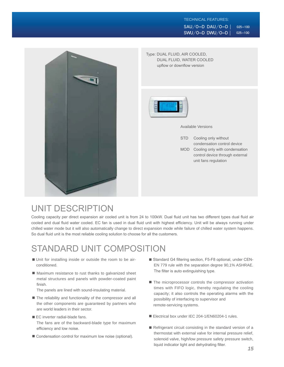### TECHNICAL FEATURES:  $SAU/O-D$   $DAU/O-D$   $|$  025-100  $SWU/O-D$  DWU/O-D | 025-100



UNIT DESCRIPTION

Cooling capacity per direct expansion air cooled unit is from 24 to 100kW. Dual fluid unit has two different types dual fluid air cooled and dual fluid water cooled. EC fan is used in dual fluid unit with highest efficiency. Unit will be always running under chilled water mode but it will also automatically change to direct expansion mode while failure of chilled water system happens. So dual fluid unit is the most reliable cooling solution to choose for all the customers.

## STANDARD UNIT COMPOSITION

- Unit for installing inside or outside the room to be airconditioned.
- Maximum resistance to rust thanks to galvanized sheet metal structures and panels with powder-coated paint finish.

The panels are lined with sound-insulating material.

- The reliability and functionality of the compressor and all the other components are guaranteed by partners who are world leaders in their sector.
- $\blacksquare$  EC inverter radial-blade fans. The fans are of the backward-blade type for maximum efficiency and low noise.
- Condensation control for maximum low noise (optional).
- Standard G4 filtering section, F5-F8 optional, under CEN-EN 779 rule with the separation degree 90,1% ASHRAE. The filter is auto extinguishing type.
- The microprocessor controls the compressor activation times with FIFO logic, thereby regulating the cooling capacity; it also controls the operating alarms with the possibility of interfacing to supervisor and remote-servicing systems.
- Electrical box under IEC 204-1/EN60204-1 rules.
- $\blacksquare$  Refrigerant circuit consisting in the standard version of a thermostat with external valve for internal pressure relief, solenoid valve, high/low pressure safety pressure switch, liquid indicator light and dehydrating filter.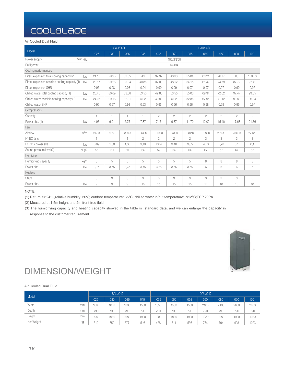Air Cooled Dual Fluid

|                                                      |                | SAU/O-D        |                |                |                |                |                | DAU/O-D        |                |                |                |
|------------------------------------------------------|----------------|----------------|----------------|----------------|----------------|----------------|----------------|----------------|----------------|----------------|----------------|
| Model                                                | 025            | 030            | 035            | 045            | 035            | 050            | 055            | 060            | 080            | 090            | 100            |
| V/Ph/Hz<br>Power supply                              |                |                |                |                |                | 400/3N/50      |                |                |                |                |                |
| Refrigerant                                          |                |                |                |                |                | R410A          |                |                |                |                |                |
| Cooling performances                                 |                |                |                |                |                |                |                |                |                |                |                |
| Direct expansion total cooling capacity (1)<br>kW    | 24.15          | 29.98          | 33.55          | 43             | 37.32          | 48.33          | 55.84          | 63.21          | 76.77          | 88             | 100.33         |
| Direct expansion sensible cooling capacity (1)<br>kW | 23.17          | 29.28          | 33.04          | 40.35          | 37.08          | 48.12          | 54.15          | 61.49          | 74.79          | 87.72          | 97.41          |
| Direct expansion SHR (1)                             | 0.96           | 0.98           | 0.98           | 0.94           | 0.99           | 0.99           | 0.97           | 0.97           | 0.97           | 0.99           | 0.97           |
| Chilled water total cooling capacity (1)<br>kW       | 25.46          | 30.09          | 33.56          | 53.55          | 42.85          | 53.55          | 55.03          | 69.34          | 72.02          | 97.47          | 99.35          |
| Chilled water sensible cooling capacity (1)<br>kW    | 24.06          | 29.16          | 32.81          | 51.2           | 40.82          | 51.2           | 52.86          | 67.95          | 71.12          | 93.89          | 96.04          |
| Chilled water SHR                                    | 0.95           | 0.97           | 0.98           | 0,93           | 0.95           | 0.96           | 0.96           | 0.98           | 0.99           | 0.96           | 0.97           |
| Compressors                                          |                |                |                |                |                |                |                |                |                |                |                |
| Quantity                                             | 1              | 1              | $\mathbf{1}$   | 1              | $\overline{2}$ | $\overline{2}$ | $\overline{2}$ | $\overline{2}$ | $\overline{2}$ | $\overline{2}$ | $\overline{2}$ |
| kW<br>Power abs. (1)                                 | 4.93           | 6.01           | 6.75           | 7.87           | 7,15           | 9,87           | 11.70          | 12.02          | 15.40          | 17.68          | 21,36          |
| Fan                                                  |                |                |                |                |                |                |                |                |                |                |                |
| $m^3/h$<br>Air flow                                  | 6600           | 8250           | 8800           | 14300          | 11000          | 14300          | 14850          | 19800          | 20900          | 26400          | 27120          |
| $N^{\circ}$ EC fans                                  | 1              | $\overline{1}$ | $\overline{1}$ | $\overline{2}$ | $\overline{2}$ | $\overline{2}$ | $\overline{2}$ | 3              | 3              | 3              | 3              |
| EC fans power abs.<br>kW                             | 0.89           | 1.60           | 1,80           | 3,40           | 2,09           | 3,40           | 3,65           | 4,50           | 5,20           | 6,1            | 6,1            |
| Sound pressure level (2)<br>dB(A)                    | 56             | 60             | 60             | 64             | 59             | 64             | 64             | 67             | 67             | 67             | 67             |
| Humidifier                                           |                |                |                |                |                |                |                |                |                |                |                |
| Humidifying capacity<br>kg/h                         | 5              | 5              | 5              | 5              | 5              | 5              | 5              | 8              | 8              | 8              | 8              |
| Power abs.<br>kW                                     | 3,75           | 3,75           | 3,75           | 3.75           | 3,75           | 3,75           | 3,75           | 6              | 6              | 6              | 6              |
| Heaters                                              |                |                |                |                |                |                |                |                |                |                |                |
| <b>Steps</b>                                         | 3              | 3              | 3              | 3              | 3              | 3              | 3              | 3              | 3              | 3              | 3              |
| Power abs.<br>kW                                     | $\overline{9}$ | 9              | 9              | 15             | 15             | 15             | 15             | 18             | 18             | 18             | 18             |

NOTE

(1) Return air:24°C, relative humidity: 50%; outdoor temperature: 35°C; chilled water in/out temperature: 7/12°C;ESP 20Pa

(2) Measured at 1.5m height and 2m front free field

(3) The humidifying capacity and heating capacity showed in the table is standard data, and we can enlarge the capacity in response to the customer requirement.



## DIMENSION/WEIGHT

### Air Cooled Dual Fluid

| Model      |    |      | SAU/O-D |      |      |      |      |      | DAU/O-D |      |      |      |
|------------|----|------|---------|------|------|------|------|------|---------|------|------|------|
|            |    | 025  | 030     | 035  | 045  | 035  | 050  | 055  | 060     | 080  | 090  | 100  |
| Width      | mm | 1000 | 1000    | 1000 | 1550 | 1550 | 1550 | 1550 | 2100    | 2100 | 2650 | 2650 |
| Depth      | mm | 790  | 790     | 790  | 790  | 790  | 790  | 790  | 790     | 790  | 790  | 790  |
| Height     | mm | 1980 | 1980    | 1980 | 1980 | 1980 | 1980 | 1980 | 1980    | 1980 | 1980 | 1980 |
| Net Weight | kg | 312  | 359     | 377  | 516  | 428  | 511  | 536  | 774     | 794  | 993  | 1023 |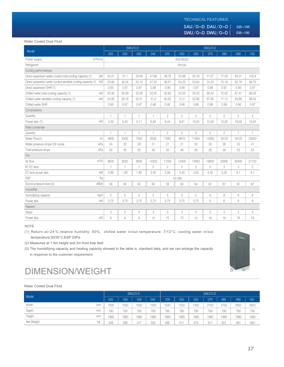### TECHNICAL FEATURES:

 $SAU/O-D$  DAU/O-D | 025-100  $SWU/O-D$  DWU/O-D | 025-100

#### Water Cooled Dual Fluid

|                                                                   |              |       | SWU/O-D                    |                |                |                |                | DWU/O-D        |                |                |                |
|-------------------------------------------------------------------|--------------|-------|----------------------------|----------------|----------------|----------------|----------------|----------------|----------------|----------------|----------------|
| Model                                                             | 025          | 030   | 035                        | 045            | 035            | 050            | 055            | 070            | 080            | 090            | 100            |
| V/Ph/Hz<br>Power supply                                           |              |       |                            |                |                | 400/3N/50      |                |                |                |                |                |
| Refrigerant                                                       |              |       |                            |                |                | R410A          |                |                |                |                |                |
| Cooling performances                                              |              |       |                            |                |                |                |                |                |                |                |                |
| Direct expansion water cooled total cooling capacity (1)<br>kW    | 25.21        | 31.1  | 33.69                      | 47.98          | 38.78          | 50.96          | 55.19          | 71.57          | 77.58          | 93.31          | 102.9          |
| Direct expansion water cooled sensible cooling capacity (1)<br>kW | 23.99        | 30.05 | 32.72                      | 47.55          | 38.57          | 50.25          | 53.64          | 70.33          | 75.16          | 92.78          | 99.75          |
| Direct expansion SHR (1)                                          | 0.93         | 0.97  | 0.97                       | 0.99           | 0.99           | 0.99           | 0.97           | 0.98           | 0.97           | 0.99           | 0.97           |
| Chilled water total cooling capacity (1)<br>kW                    | 25.46        | 30.09 | 33.56                      | 53.55          | 42.85          | 53.55          | 55.03          | 69.34          | 72.02          | 97.47          | 99.35          |
| Chilled water sensible cooling capacity (1)<br>kW                 | 24.06        | 29.16 | 32.51                      | 51.2           | 40.82          | 51.2           | 52.86          | 67.95          | 71.12          | 93.89          | 96.04          |
| Chilled water SHR                                                 | 0.95         | 0.97  | 0.97                       | 0.96           | 0.95           | 0.96           | 0.96           | 0.98           | 0.99           | 0.96           | 0.97           |
| Compressors                                                       |              |       |                            |                |                |                |                |                |                |                |                |
| Quantity                                                          | $\mathbf{1}$ | 1     | $\mathbf{1}$               | 1              | $\mathbf{2}$   | $\overline{2}$ | $\mathbf{2}$   | $\mathbf{2}$   | $\overline{2}$ | $\overline{2}$ | $\overline{2}$ |
| kW<br>Power abs. (1)                                              | 4,30         | 5.40  | 6.11                       | 6.94           | 6.44           | 8,61           | 10.55          | 12,28          | 13.30          | 16.03          | 19,33          |
| Plate condenser                                                   |              |       |                            |                |                |                |                |                |                |                |                |
| Quantity                                                          | $\mathbf{1}$ | 1     | 1                          | 1              | $\overline{2}$ | $\mathbf{2}$   | $\overline{2}$ | $\overline{2}$ | $\overline{2}$ | 1.             | 1              |
| 1/h<br>Water Flow(1)                                              | 4900         | 6330  | 7002                       | 8430           | 7380           | 9810           | 11954          | 14360          | 16132          | 18120          | 20830          |
| kPa<br>Water pressure dropin DX mode                              | 24           | 32    | 28                         | 31             | 27             | 21             | 32             | 30             | 28             | 33             | 41             |
| kPa<br>Total pressure drops                                       | 26           | 35    | 35                         | 46             | 30             | 46             | 46             | 26             | 26             | 53             | 53             |
| Fan                                                               |              |       |                            |                |                |                |                |                |                |                |                |
| $m^3/h$<br>Air flow                                               | 6600         | 8250  | 8800                       | 14300          | 11000          | 14300          | 14850          | 19800          | 20900          | 26400          | 27120          |
| N° EC fans                                                        | $\mathbf{1}$ | 1     | $\mathbf{1}$               | $\overline{2}$ | $\overline{2}$ | $\overline{2}$ | $\overline{2}$ | 3              | 3              | 3              | 3              |
| kW<br>EC fans power abs.                                          | 0.89         | 1.60  | 1,80                       | 3.40           | 2.09           | 3.40           | 3,65           | 4.50           | 5,20           | 6,1            | 6,1            |
| <b>ESP</b><br>Pa                                                  |              |       |                            |                |                | 20-350         |                |                |                |                |                |
| dB(A)<br>Sound pressure level (2)                                 | 56           | 60    | 60                         | 64             | 59             | 64             | 64             | 67             | 67             | 67             | 67             |
| Humidifier                                                        |              |       |                            |                |                |                |                |                |                |                |                |
| Humidifying capacity<br>kg/h                                      | 5            | 5     | 5                          | 5              | 5              | 5              | 5              | 8              | 8              | 8              | 8              |
| kW<br>Power abs.                                                  | 3,75         | 3.75  | 3,75                       | 3.75           | 3.75           | 3.75           | 3,75           | 6              | 6              | 6              | 6              |
| Heaters                                                           |              |       |                            |                |                |                |                |                |                |                |                |
| <b>Steps</b>                                                      | 3            | 3     | $\ensuremath{\mathcal{S}}$ | 3              | 3              | 3              | 3              | 3              | 3              | 3              | 3              |
| kW<br>Power abs.                                                  | 9            | 9     | 9                          | 15             | 15             | 15             | 15             | 18             | 18             | 18             | 18             |

### NOTE

(1) Return air:24°C, relative humidity: 50%; chilled water in/out temperature: 7/12°C; cooling water in/out temperature:30/35°C;ESP 20Pa

(2) Measured at 1.5m height and 2m front free field

(3) The humidifying capacity and heating capacity showed in the table is standard data, and we can enlarge the capacity in response to the customer requirement.



## $DIMENSION/WEIGHT$

#### Water Cooled Dual Fluid

| Model            |      |      | SWU/O-D |      |      |      |      | DWU/O-D |      |      |      |
|------------------|------|------|---------|------|------|------|------|---------|------|------|------|
|                  | 025  | 030  | 035     | 045  | 035  | 050  | 055  | 070     | 080  | 090  | 100  |
| Width<br>mm      | 1000 | 1000 | 1000    | 1550 | 1550 | 1550 | 1550 | 2100    | 2100 | 2650 | 2650 |
| Depth<br>mm      | 790  | 790  | 790     | 790  | 790  | 790  | 790  | 790     | 790  | 790  | 790  |
| Height<br>mm     | 1980 | 1980 | 1980    | 1980 | 1980 | 1980 | 1980 | 1980    | 1980 | 1980 | 1980 |
| Net Weight<br>kg | 348  | 399  | 417     | 556  | 468  | 511  | 576  | 811     | 831  | 981  | 1061 |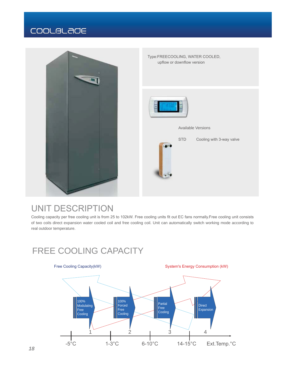

## UNIT DESCRIPTION

Cooling capacity per free cooling unit is from 25 to 102kW. Free cooling units fit out EC fans normally.Free cooling unit consists of two coils direct expansion water cooled coil and free cooling coil. Unit can automatically switch working mode according to real outdoor temperature.

## FREE COOLING CAPACITY

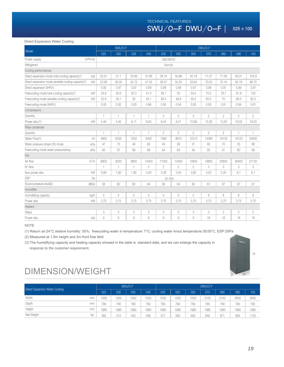TECHNICAL FEATURES:  $SWU/O-F DWU/O-F$  | 025÷100

#### Direct Expansion Water Cooling

|                                                          | SWU/O-F      |       |                |                | DWU/O-F        |                |                |                |                |                |                |  |
|----------------------------------------------------------|--------------|-------|----------------|----------------|----------------|----------------|----------------|----------------|----------------|----------------|----------------|--|
| Model                                                    | 025          | 030   | 035            | 045            | 035            | 050            | 055            | 070            | 080            | 090            | 100            |  |
| V/Ph/Hz<br>Power supply                                  |              |       |                |                | 380/3N/50      |                |                |                |                |                |                |  |
| Refrigerant                                              |              |       |                |                | <b>R410A</b>   |                |                |                |                |                |                |  |
| Cooling performances                                     |              |       |                |                |                |                |                |                |                |                |                |  |
| Direct expansion mode total cooling capacity(1)<br>kW    | 25.21        | 31.1  | 33.69          | 47.88          | 38.78          | 50.96          | 55.19          | 71.57          | 77.58          | 93.31          | 102.9          |  |
| Direct expansion mode sensible cooling capacity(1)<br>kW | 23.99        | 30.05 | 32.72          | 47.55          | 38.57          | 50.25          | 53.64          | 70.33          | 75.16          | 92.78          | 99.75          |  |
| Direct expansion SHR(1)                                  | 0.93         | 0.97  | 0.97           | 0.99           | 0.99           | 0.99           | 0.97           | 0.98           | 0.97           | 0.99           | 0.97           |  |
| Freecooling mode total cooling capacity(1)<br>kW         | 24.9         | 30.6  | 32.3           | 47.3           | 38.1           | 50             | 54.5           | 70.3           | 76.7           | 91.8           | 102            |  |
| Freecooling mode sensible cooling capacity(1)<br>kW      | 22.9         | 28.1  | 30             | 45.1           | 36.4           | 46.8           | 50.2           | 65.5           | 70             | 86.3           | 92.5           |  |
| Freecooling mode SHR(1)                                  | 0.92         | 0.92  | 0.93           | 0.96           | 0.95           | 0.94           | 0.92           | 0.93           | 0.91           | 0.94           | 0.91           |  |
| Compressors                                              |              |       |                |                |                |                |                |                |                |                |                |  |
| Quantity                                                 | 1            | 1     | $\overline{1}$ | $\mathbf{1}$   | $\overline{2}$ | $\overline{2}$ | $\overline{2}$ | $\overline{2}$ | $\overline{2}$ | $\overline{2}$ | $\overline{2}$ |  |
| kW<br>Power abs.(1)                                      | 4,40         | 5,40  | 6,11           | 8,00           | 6,44           | 8.41           | 10.96          | 12,28          | 13,30          | 16,03          | 19,33          |  |
| Plate condenser                                          |              |       |                |                |                |                |                |                |                |                |                |  |
| Quantity                                                 | $\mathbf{1}$ | 1     | $\overline{1}$ | $\mathbf{1}$   | $\overline{2}$ | $\overline{2}$ | $\overline{2}$ | $\overline{2}$ | $\overline{2}$ | 1              | 1              |  |
| Water Flow(1)<br>1/h                                     | 4900         | 6330  | 7002           | 8430           | 7380           | 9610           | 12313          | 14360          | 16133          | 18120          | 20830          |  |
| Water pressure dropin DX mode<br>kPa                     | 47           | 70    | 46             | 66             | 49             | 58             | 57             | 65             | 70             | 55             | 68             |  |
| kPa<br>Freecooling mode water pressuredrop               | 60           | 97    | 69             | 89             | 64             | 84             | 95             | 85             | 91             | 80             | 99             |  |
| Fan                                                      |              |       |                |                |                |                |                |                |                |                |                |  |
| $m^3/h$<br>Air flow                                      | 6600         | 8250  | 8800           | 14300          | 11000          | 14300          | 14850          | 19800          | 20900          | 26400          | 27120          |  |
| $N^{\circ}$ fans                                         | $\mathbf{1}$ | 1     | $\mathbf{1}$   | $\overline{2}$ | $\overline{2}$ | $\overline{2}$ | $\overline{2}$ | 3              | 3              | 3              | 3              |  |
| kW<br>fans power abs.                                    | 0,89         | 1,60  | 1,80           | 3,40           | 2,09           | 3,40           | 3,65           | 4,50           | 5,20           | 6,1            | 6,1            |  |
| ESP<br>Pa                                                | 20-350       |       |                |                |                |                |                |                |                |                |                |  |
| dB(A)<br>Sound pressure level(2)                         | 56           | 60    | 60             | 64             | 59             | 64             | 64             | 67             | 67             | 67             | 67             |  |
| Humidifier                                               |              |       |                |                |                |                |                |                |                |                |                |  |
| Humidifying capacity<br>kg/h                             | 5            | 5     | 5              | 5              | 5              | 5              | 5              | 8              | 8              | 8              | 8              |  |
| Power abs.<br>kW                                         | 3,75         | 3,75  | 3,75           | 3,75           | 3,75           | 3,75           | 3,75           | 3,75           | 3,75           | 3,75           | 3,75           |  |
| Heaters                                                  |              |       |                |                |                |                |                |                |                |                |                |  |
| <b>Steps</b>                                             | 3            | 3     | 3              | 3              | 3              | 3              | 3              | 3              | 3              | 3              | 3              |  |
| Power abs.<br>kW                                         | 9            | 9     | $\overline{9}$ | 9              | 9              | 9              | 9              | 18             | 18             | 18             | 18             |  |

### NOTE

(1) Return air:24°C, relative humidity: 50%; freecooling water in temperature: 7°C; cooling water in/out temperature:30/35°C, ESP:20Pa

(2) Measured at 1.5m height and 2m front free field

(3) The humidifying capacity and heating capacity showed in the table is standard data, and we can enlarge the capacity in response to the customer requirement.



## DIMENSION/WEIGHT

| Direct Expansion Water Cooling |    | SWU/O-F |      |      |      | DWU/O-F |      |      |      |      |      |      |  |
|--------------------------------|----|---------|------|------|------|---------|------|------|------|------|------|------|--|
|                                |    | 025     | 030  | 035  | 045  | 035     | 050  | 055  | 070  | 080  | 090  | 100  |  |
| Width                          | mm | 1000    | 1000 | 1000 | 550  | 1550    | 1550 | 1550 | 2100 | 2100 | 2650 | 2650 |  |
| Depth                          | mm | 790     | 790  | 790  | 790  | 790     | 790  | 790  | 790  | 790  | 790  | 790  |  |
| Height                         | mm | 1980    | 1980 | 1980 | 1980 | 1980    | 1980 | 1980 | 1980 | 1980 | 1980 | 1980 |  |
| Net Weight                     | kg | 362     | 413  | 433  | 489  | 577     | 580  | 605  | 846  | 87   | 993  | 1123 |  |